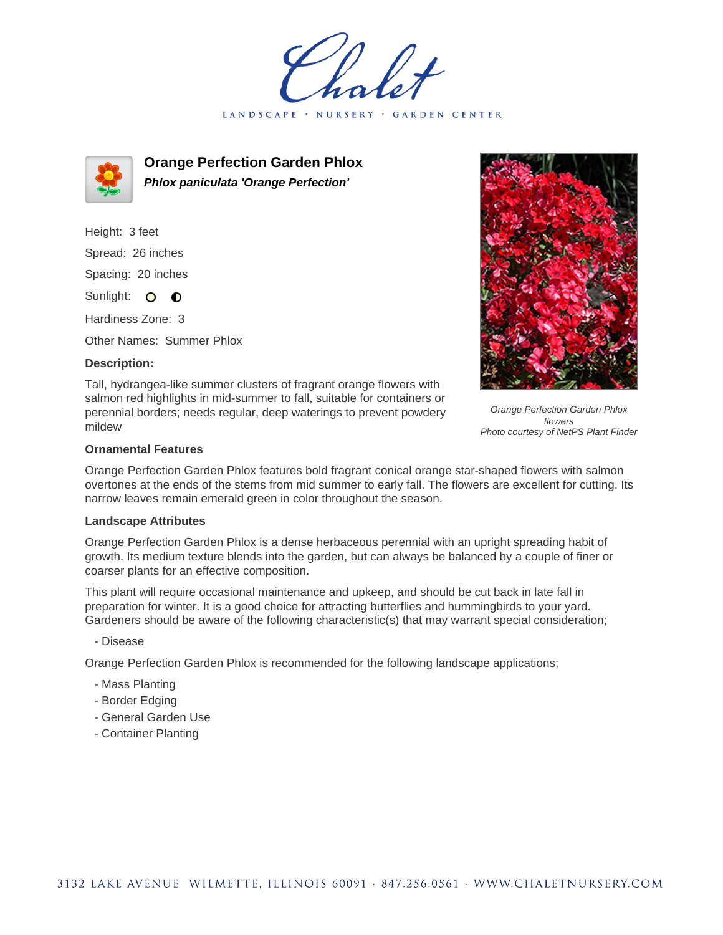LANDSCAPE · GARDEN CENTER



**Orange Perfection Garden Phlox Phlox paniculata 'Orange Perfection'**

Height: 3 feet Spread: 26 inches Spacing: 20 inches Sunlight: O **O** 

Hardiness Zone: 3

Other Names: Summer Phlox

### **Description:**

Tall, hydrangea-like summer clusters of fragrant orange flowers with salmon red highlights in mid-summer to fall, suitable for containers or perennial borders; needs regular, deep waterings to prevent powdery mildew



Orange Perfection Garden Phlox flowers Photo courtesy of NetPS Plant Finder

# **Ornamental Features**

Orange Perfection Garden Phlox features bold fragrant conical orange star-shaped flowers with salmon overtones at the ends of the stems from mid summer to early fall. The flowers are excellent for cutting. Its narrow leaves remain emerald green in color throughout the season.

#### **Landscape Attributes**

Orange Perfection Garden Phlox is a dense herbaceous perennial with an upright spreading habit of growth. Its medium texture blends into the garden, but can always be balanced by a couple of finer or coarser plants for an effective composition.

This plant will require occasional maintenance and upkeep, and should be cut back in late fall in preparation for winter. It is a good choice for attracting butterflies and hummingbirds to your yard. Gardeners should be aware of the following characteristic(s) that may warrant special consideration;

#### - Disease

Orange Perfection Garden Phlox is recommended for the following landscape applications;

- Mass Planting
- Border Edging
- General Garden Use
- Container Planting